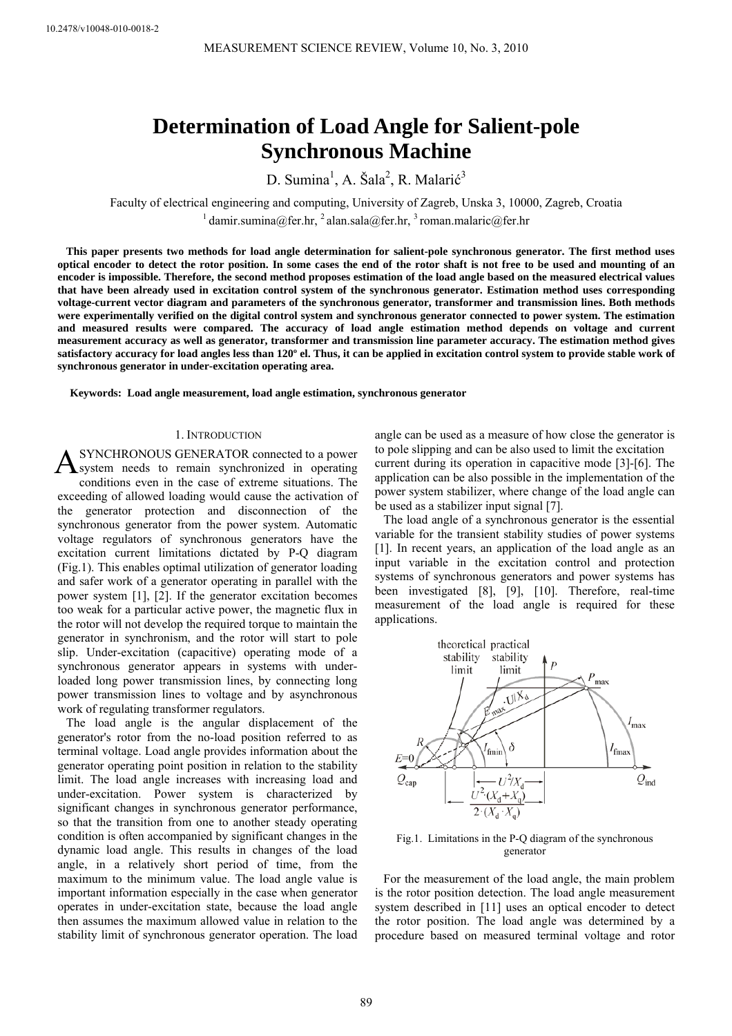# **Determination of Load Angle for Salient-pole Synchronous Machine**

D. Sumina<sup>1</sup>, A. Šala<sup>2</sup>, R. Malarić<sup>3</sup>

Faculty of electrical engineering and computing, University of Zagreb, Unska 3, 10000, Zagreb, Croatia <sup>1</sup> [damir.sumina@fer.hr,](mailto:damir.sumina@fer.hr) <sup>2</sup> [alan.sala@fer.hr](mailto:alan.sala@fer.hr), <sup>3</sup> roman.malaric@fer.hr

**This paper presents two methods for load angle determination for salient-pole synchronous generator. The first method uses optical encoder to detect the rotor position. In some cases the end of the rotor shaft is not free to be used and mounting of an encoder is impossible. Therefore, the second method proposes estimation of the load angle based on the measured electrical values that have been already used in excitation control system of the synchronous generator. Estimation method uses corresponding voltage-current vector diagram and parameters of the synchronous generator, transformer and transmission lines. Both methods were experimentally verified on the digital control system and synchronous generator connected to power system. The estimation and measured results were compared. The accuracy of load angle estimation method depends on voltage and current measurement accuracy as well as generator, transformer and transmission line parameter accuracy. The estimation method gives satisfactory accuracy for load angles less than 120º el. Thus, it can be applied in excitation control system to provide stable work of synchronous generator in under-excitation operating area.** 

**Keywords: Load angle measurement, load angle estimation, synchronous generator** 

### 1. INTRODUCTION

SY NCHRONOUS GENERATOR connected to a power **A** SYNCHRONOUS GENERATOR connected to a power<br>
system needs to remain synchronized in operating co nditions even in the case of extreme situations. The exceeding of allowed loading would cause the activation of generator protection and disconnection of the synchronous generator from the power system. Automatic voltage regulators of synchronous generators have the excitation current limitations dictated by P-Q diagram (Fig.1). This enables optimal utilization of generator loading and safer work of a generator operating in parallel with the power system [1], [2]. If the generator excitation becomes too weak for a particular active power, the magnetic flux in the rotor will not develop the required torque to maintain the generator in synchronism, and the rotor will start to pole slip. Under-excitation (capacitive) operating mode of a synchronous generator appears in systems with underloaded long power transmission lines, by connecting long power transmission lines to voltage and by asynchronous work of regulating transformer regulators.

The load angle is the angular displacement of the generator's rotor from the no-load position referred to as terminal voltage. Load angle provides information about the generator operating point position in relation to the stability limit. The load angle increases with increasing load and under-excitation. Power system is characterized by significant changes in synchronous generator performance, so that the transition from one to another steady operating condition is often accompanied by significant changes in the dynamic load angle. This results in changes of the load angle, in a relatively short period of time, from the maximum to the minimum value. The load angle value is important information especially in the case when generator operates in under-excitation state, because the load angle then assumes the maximum allowed value in relation to the stability limit of synchronous generator operation. The load

angle can be used as a measure of how close the generator is to pole slipping and can be also used to limit the excitation current during its operation in capacitive mode [3]-[6]. The application can be also possible in the implementation of the power system stabilizer, where change of the load angle can be used as a stabilizer input signal [7].

The load angle of a synchronous generator is the essential variable for the transient stability studies of power systems [1]. In recent years, an application of the load angle as an input variable in the excitation control and protection systems of synchronous generators and power systems has been investigated [8], [9], [10]. Therefore, real-time measurement of the load angle is required for these applications.



Fig.1. Limitations in the P-Q diagram of the synchronous generator

For the measurement of the load angle, the main problem is the rotor position detection. The load angle measurement system described in [11] uses an optical encoder to detect the rotor position. The load angle was determined by a procedure based on measured terminal voltage and rotor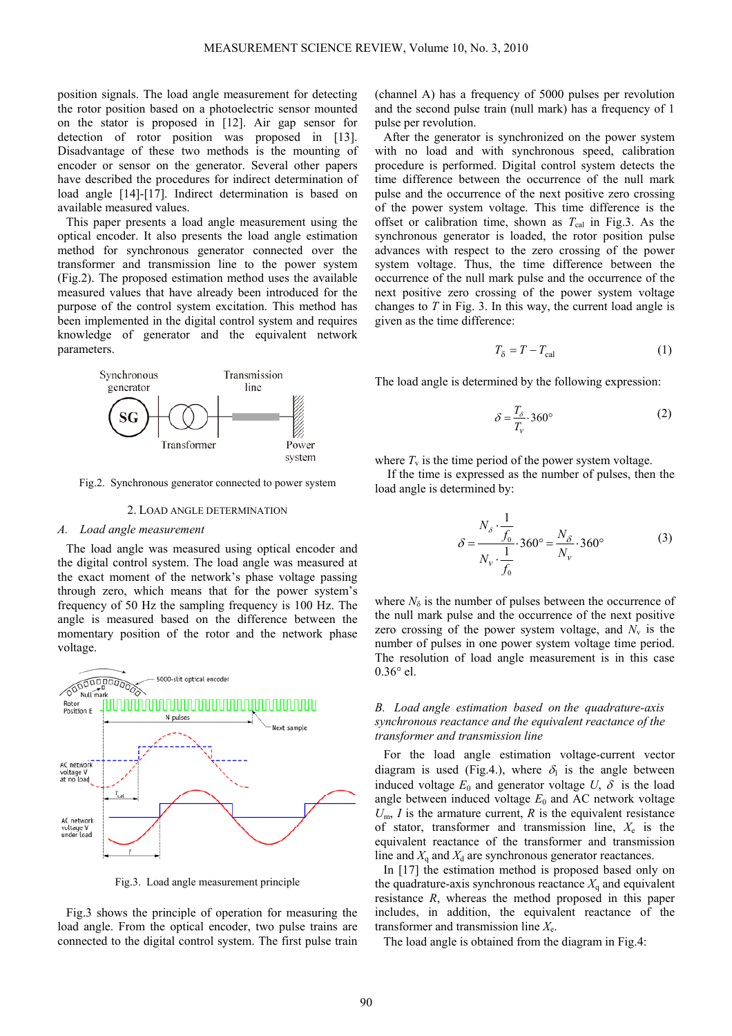position signals. The load angle measurement for detecting the rotor position based on a photoelectric sensor mounted on the stator is proposed in [12]. Air gap sensor for detection of rotor position was proposed in [13]. Disadvantage of these two methods is the mounting of encoder or sensor on the generator. Several other papers have described the procedures for indirect determination of load angle [14]-[17]. Indirect determination is based on available measured values.

This paper presents a load angle measurement using the optical encoder. It also presents the load angle estimation method for synchronous generator connected over the transformer and transmission line to the power system (Fig.2). The proposed estimation method uses the available measured values that have already been introduced for the purpose of the control system excitation. This method has been implemented in the digital control system and requires knowledge of generator and the equivalent network parameters.



Fig.2. Synchronous generator connected to power system

#### 2. LOAD ANGLE DETERMINATION

#### *A. Load angle measurement*

The load angle was measured using optical encoder and the digital control system. The load angle was measured at the exact moment of the network's phase voltage passing through zero, which means that for the power system's frequency of 50 Hz the sampling frequency is 100 Hz. The angle is measured based on the difference between the momentary position of the rotor and the network phase voltage.



Fig.3. Load angle measurement principle

Fig.3 shows the principle of operation for measuring the load angle. From the optical encoder, two pulse trains are connected to the digital control system. The first pulse train (channel A) has a frequency of 5000 pulses per revolution and the second pulse train (null mark) has a frequency of 1 pulse per revolution.

After the generator is synchronized on the power system with no load and with synchronous speed, calibration procedure is performed. Digital control system detects the time difference between the occurrence of the null mark pulse and the occurrence of the next positive zero crossing of the power system voltage. This time difference is the offset or calibration time, shown as  $T_{cal}$  in Fig.3. As the synchronous generator is loaded, the rotor position pulse advances with respect to the zero crossing of the power system voltage. Thus, the time difference between the occurrence of the null mark pulse and the occurrence of the next positive zero crossing of the power system voltage changes to *T* in Fig. 3. In this way, the current load angle is given as the time difference:

$$
T_{\delta} = T - T_{\text{cal}} \tag{1}
$$

The load angle is determined by the following expression:

$$
\delta = \frac{T_{\delta}}{T_v} \cdot 360^{\circ} \tag{2}
$$

where  $T_v$  is the time period of the power system voltage.

If the time is expressed as the number of pulses, then the load angle is determined by:

$$
\delta = \frac{N_{\delta} \cdot \frac{1}{f_0}}{N_v \cdot \frac{1}{f_0}} \cdot 360^\circ = \frac{N_{\delta}}{N_v} \cdot 360^\circ \tag{3}
$$

where  $N_{\delta}$  is the number of pulses between the occurrence of the null mark pulse and the occurrence of the next positive zero crossing of the power system voltage, and  $N_v$  is the number of pulses in one power system voltage time period. The resolution of load angle measurement is in this case 0.36° el.

# *B. Load angle estimation based on the quadrature-axis synchronous reactance and the equivalent reactance of the transformer and transmission line*

For the load angle estimation voltage-current vector diagram is used (Fig.4.), where  $\delta_1$  is the angle between induced voltage  $E_0$  and generator voltage  $U$ ,  $\delta$  is the load angle between induced voltage  $E_0$  and AC network voltage  $U_m$ , *I* is the armature current, *R* is the equivalent resistance of stator, transformer and transmission line,  $X_e$  is the equivalent reactance of the transformer and transmission line and  $X<sub>a</sub>$  and  $X<sub>d</sub>$  are synchronous generator reactances.

In [17] the estimation method is proposed based only on the quadrature-axis synchronous reactance  $X<sub>a</sub>$  and equivalent resistance *R*, whereas the method proposed in this paper includes, in addition, the equivalent reactance of the transformer and transmission line *X*e.

The load angle is obtained from the diagram in Fig.4: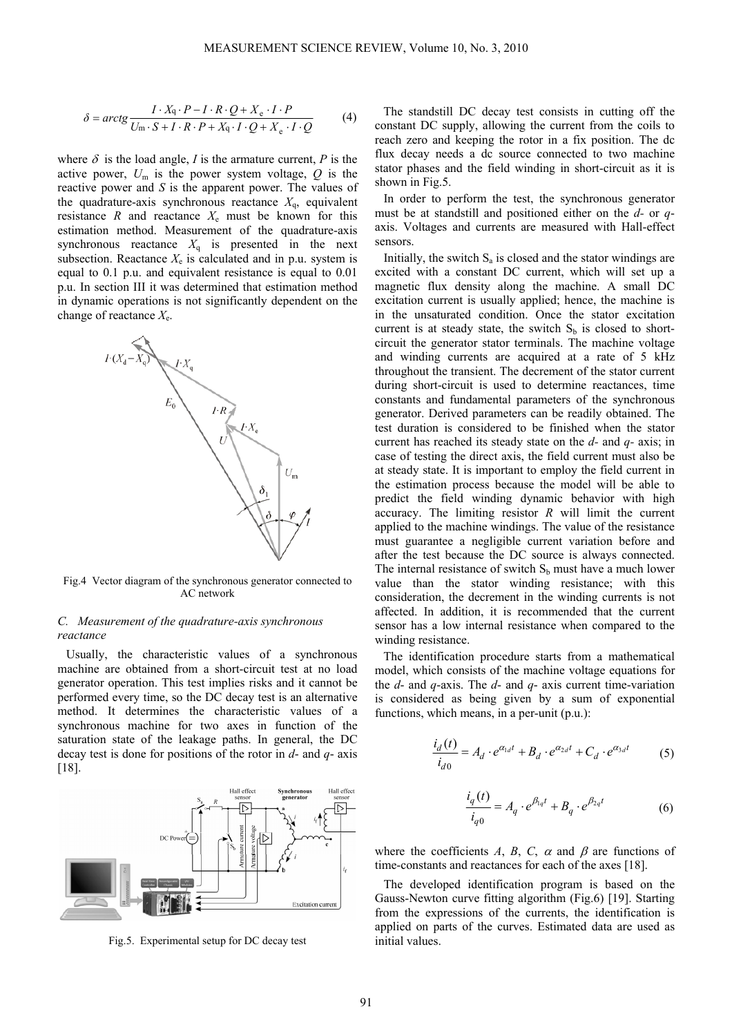$$
\delta = \arctg \frac{I \cdot X_{\mathbf{q}} \cdot P - I \cdot R \cdot Q + X_{\mathbf{e}} \cdot I \cdot P}{U_{\mathbf{m}} \cdot S + I \cdot R \cdot P + X_{\mathbf{q}} \cdot I \cdot Q + X_{\mathbf{e}} \cdot I \cdot Q} \tag{4}
$$

where  $\delta$  is the load angle, *I* is the armature current, *P* is the active power,  $U_m$  is the power system voltage,  $Q$  is the reactive power and *S* is the apparent power. The values of the quadrature-axis synchronous reactance  $X<sub>a</sub>$ , equivalent resistance *R* and reactance  $X_e$  must be known for this estimation method. Measurement of the quadrature-axis synchronous reactance  $X_q$  is presented in the next subsection. Reactance  $X_e$  is calculated and in p.u. system is equal to 0.1 p.u. and equivalent resistance is equal to 0.01 p.u. In section III it was determined that estimation method in dynamic operations is not significantly dependent on the change of reactance *X*e.



Fig.4 Vector diagram of the synchronous generator connected to AC network

# *. Measurement of the quadrature-axis synchronous C reactance*

Usually, the characteristic values of a synchronous m achine are obtained from a short-circuit test at no load generator operation. This test implies risks and it cannot be performed every time, so the DC decay test is an alternative method. It determines the characteristic values of a synchronous machine for two axes in function of the saturation state of the leakage paths. In general, the DC decay test is done for positions of the rotor in *d*- and *q*- axis [18].



Fig.5. Experimental setup for DC decay test

The standstill DC decay test consists in cutting off the c onstant DC supply, allowing the current from the coils to reach zero and keeping the rotor in a fix position. The dc flux decay needs a dc source connected to two machine stator phases and the field winding in short-circuit as it is shown in Fig.5.

In order to perform the test, the synchronous generator m ust be at standstill and positioned either on the *d-* or *q*axis. Voltages and currents are measured with Hall-effect sensors.

Initially, the switch  $S_a$  is closed and the stator windings are e xcited with a constant DC current, which will set up a magnetic flux density along the machine. A small DC excitation current is usually applied; hence, the machine is in the unsaturated condition. Once the stator excitation current is at steady state, the switch  $S_b$  is closed to shortcircuit the generator stator terminals. The machine voltage and winding currents are acquired at a rate of 5 kHz throughout the transient. The decrement of the stator current during short-circuit is used to determine reactances, time constants and fundamental parameters of the synchronous generator. Derived parameters can be readily obtained. The test duration is considered to be finished when the stator current has reached its steady state on the *d-* and *q-* axis; in case of testing the direct axis, the field current must also be at steady state. It is important to employ the field current in the estimation process because the model will be able to predict the field winding dynamic behavior with high accuracy. The limiting resistor *R* will limit the current applied to the machine windings. The value of the resistance must guarantee a negligible current variation before and after the test because the DC source is always connected. The internal resistance of switch  $S_b$  must have a much lower value than the stator winding resistance; with this consideration, the decrement in the winding currents is not affected. In addition, it is recommended that the current sensor has a low internal resistance when compared to the winding resistance.

The identification procedure starts from a mathematical m odel, which consists of the machine voltage equations for the *d*- and *q*-axis. The *d*- and *q*- axis current time-variation is considered as being given by a sum of exponential functions, which means, in a per-unit (p.u.):

$$
\frac{i_d(t)}{i_{d0}} = A_d \cdot e^{\alpha_{1d}t} + B_d \cdot e^{\alpha_{2d}t} + C_d \cdot e^{\alpha_{3d}t} \tag{5}
$$

$$
\frac{i_q(t)}{i_{q0}} = A_q \cdot e^{\beta_{1q}t} + B_q \cdot e^{\beta_{2q}t} \tag{6}
$$

where the coefficients  $A$ ,  $B$ ,  $C$ ,  $\alpha$  and  $\beta$  are functions of time-constants and reactances for each of the axes [18].

The developed identification program is based on the G auss-Newton curve fitting algorithm (Fig.6) [19]. Starting from the expressions of the currents, the identification is applied on parts of the curves. Estimated data are used as initial values.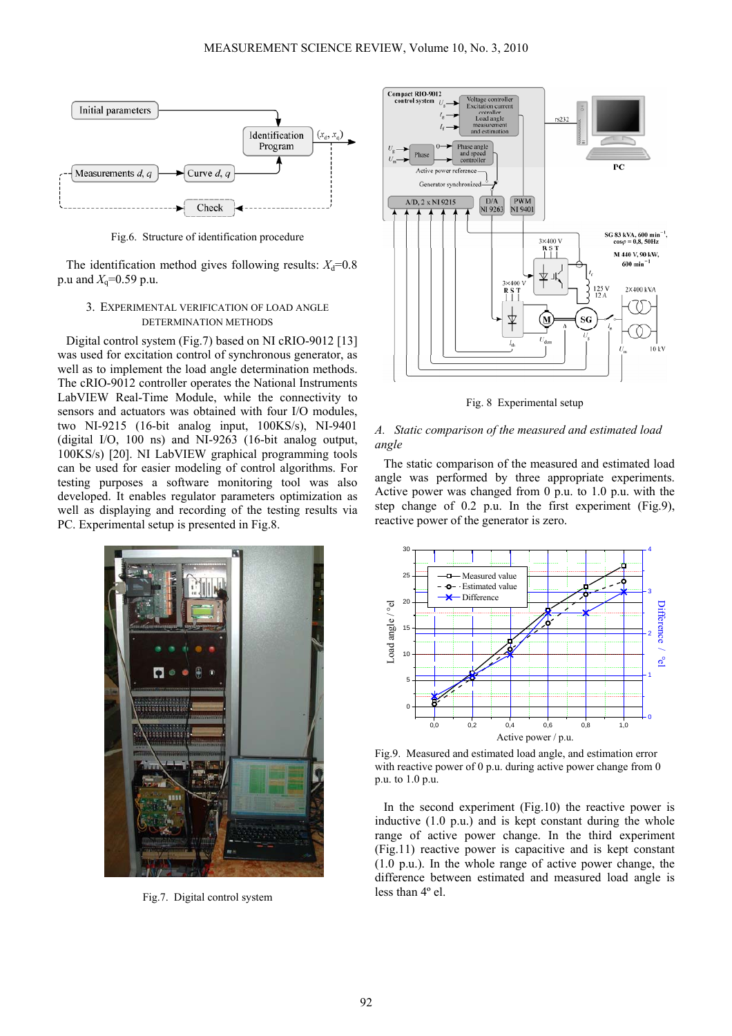

Fig.6. Structure of identification procedure

The identification method gives following results:  $X_d = 0.8$ p.u and  $X_q = 0.59$  p.u.

### 3. EXPERIMENTAL VERIFICATION OF LOAD ANGLE DETERMINATION METHODS

Digital control system (Fig.7) based on NI cRIO-9012 [13] w as used for excitation control of synchronous generator, as well as to implement the load angle determination methods. The cRIO-9012 controller operates the National Instruments LabVIEW Real-Time Module, while the connectivity to sensors and actuators was obtained with four I/O modules, two NI-9215 (16-bit analog input, 100KS/s), NI-9401 (digital I/O, 100 ns) and NI-9263 (16-bit analog output, 100KS/s) [20]. NI LabVIEW graphical programming tools can be used for easier modeling of control algorithms. For testing purposes a software monitoring tool was also developed. It enables regulator parameters optimization as well as displaying and recording of the testing results via PC. Experimental setup is presented in Fig.8.



Fig.7. Digital control system less than  $4^{\circ}$  el.



Fig. 8 Experimental setup

## *A. Static comparison of the measured and estimated load angle*

The static comparison of the measured and estimated load angle was performed by three appropriate experiments. Active power was changed from 0 p.u. to 1.0 p.u. with the step change of 0.2 p.u. In the first experiment (Fig.9), reactive power of the generator is zero.



Fig.9. Measured and estimated load angle, and estimation error with reactive power of 0 p.u. during active power change from 0 p.u. to 1.0 p.u.

In the second experiment (Fig.10) the reactive power is inductive (1.0 p.u.) and is kept constant during the whole range of active power change. In the third experiment (Fig.11) reactive power is capacitive and is kept constant (1.0 p.u.). In the whole range of active power change, the difference between estimated and measured load angle is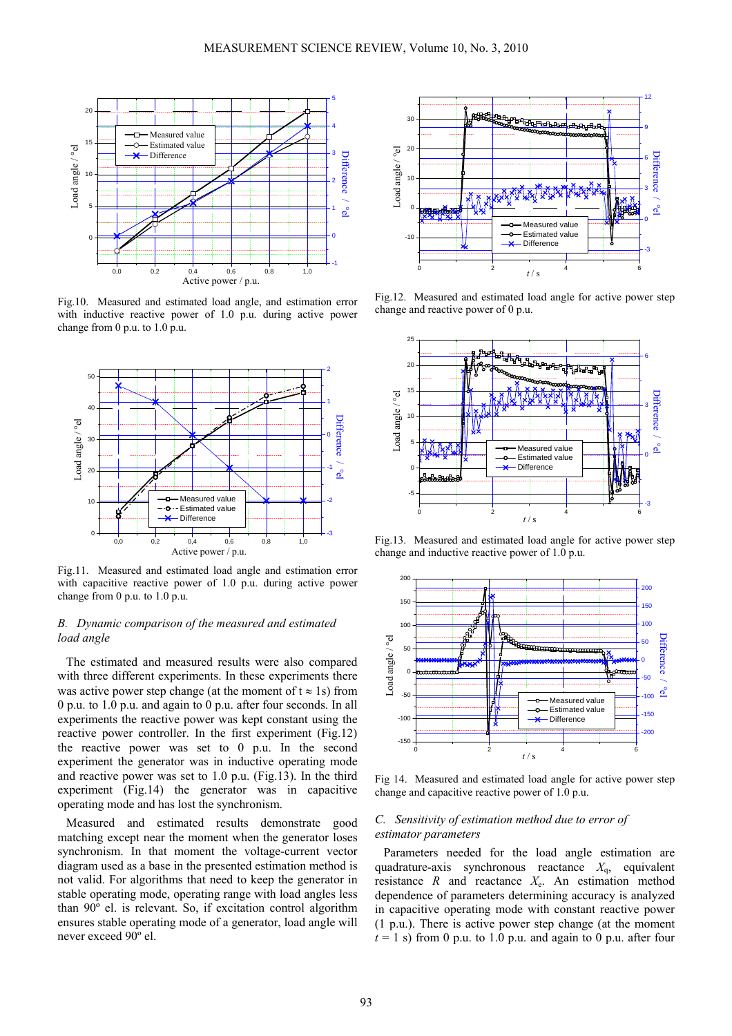

Fig.10. Measured and estimated load angle, and estimation error with inductive reactive power of 1.0 p.u. during active power change from 0 p.u. to 1.0 p.u.



Fig.11. Measured and estimated load angle and estimation error with capacitive reactive power of 1.0 p.u. during active power change from 0 p.u. to 1.0 p.u.

# *B. Dynamic comparison of the measured and estimated load angle*

The estimated and measured results were also compared with three different experiments. In these experiments there was active power step change (at the moment of  $t \approx 1$ s) from 0 p.u. to 1.0 p.u. and again to 0 p.u. after four seconds. In all experiments the reactive power was kept constant using the reactive power controller. In the first experiment (Fig.12) the reactive power was set to 0 p.u. In the second experiment the generator was in inductive operating mode and reactive power was set to 1.0 p.u. (Fig.13). In the third experiment (Fig.14) the generator was in capacitive operating mode and has lost the synchronism.

Measured and estimated results demonstrate good matching except near the moment when the generator loses synchronism. In that moment the voltage-current vector diagram used as a base in the presented estimation method is not valid. For algorithms that need to keep the generator in stable operating mode, operating range with load angles less than 90º el. is relevant. So, if excitation control algorithm ensures stable operating mode of a generator, load angle will never exceed 90º el.



Fig.12. Measured and estimated load angle for active power step change and reactive power of 0 p.u.



Fig.13. Measured and estimated load angle for active power step change and inductive reactive power of 1.0 p.u.



Fig 14. Measured and estimated load angle for active power step change and capacitive reactive power of 1.0 p.u.

### *C. Sensitivity of estimation method due to error of estimator parameters*

Parameters needed for the load angle estimation are quadrature-axis synchronous reactance *X*q, equivalent resistance  $R$  and reactance  $X_e$ . An estimation method dependence of parameters determining accuracy is analyzed in capacitive operating mode with constant reactive power (1 p.u.). There is active power step change (at the moment  $t = 1$  s) from 0 p.u. to 1.0 p.u. and again to 0 p.u. after four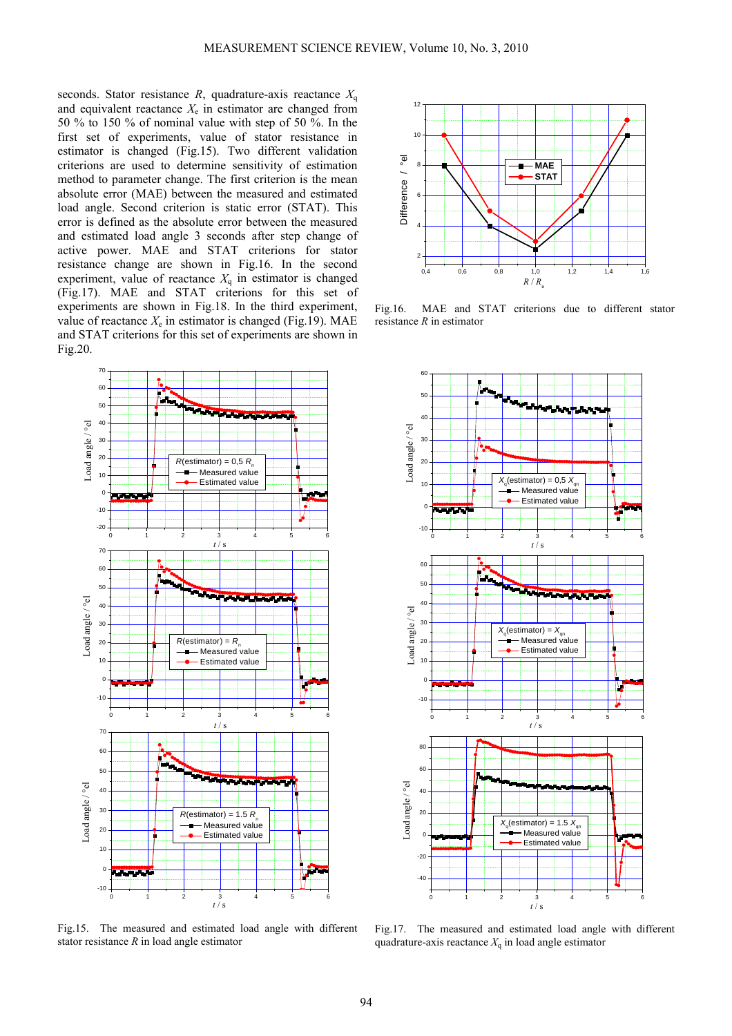seconds. Stator resistance *R*, quadrature-axis reactance *X*<sup>q</sup> and equivalent reactance  $X_e$  in estimator are changed from 50 % to 150 % of nominal value with step of 50 %. In the first set of experiments, value of stator resistance in estimator is changed (Fig.15). Two different validation criterions are used to determine sensitivity of estimation method to parameter change. The first criterion is the mean absolute error (MAE) between the measured and estimated load angle. Second criterion is static error (STAT). This error is defined as the absolute error between the measured and estimated load angle 3 seconds after step change of active power. MAE and STAT criterions for stator resistance change are shown in Fig.16. In the second experiment, value of reactance  $X_q$  in estimator is changed (Fig.17). MAE and STAT criterions for this set of experiments are shown in Fig.18. In the third experiment, value of reactance  $X<sub>e</sub>$  in estimator is changed (Fig.19). MAE and STAT criterions for this set of experiments are shown in Fig.20.



Fig.15. The measured and estimated load angle with different stator resistance *R* in load angle estimator



Fig.16. MAE and STAT criterions due to different stator resistance *R* in estimator



Fig.17. The measured and estimated load angle with different quadrature-axis reactance  $X<sub>q</sub>$  in load angle estimator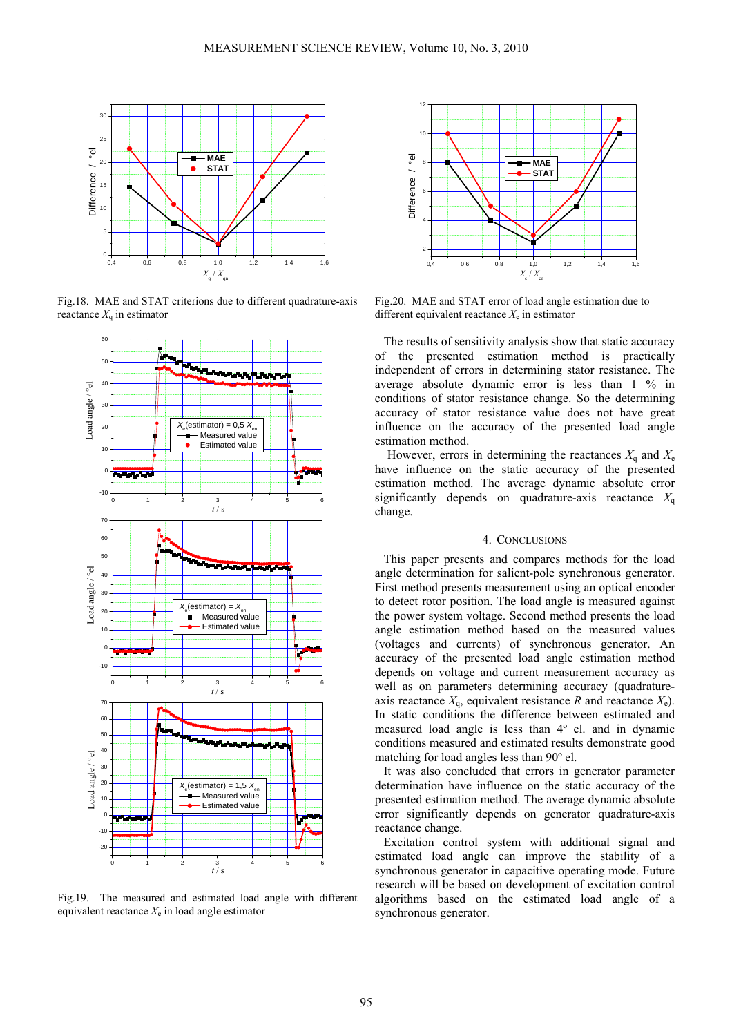

Fig.18. MAE and STAT criterions due to different quadrature-axis reactance  $X_q$  in estimator



Fig.19. The measured and estimated load angle with different equivalent reactance  $X_e$  in load angle estimator



Fig.20. MAE and STAT error of load angle estimation due to different equivalent reactance  $X_e$  in estimator

The results of sensitivity analysis show that static accuracy of the presented estimation method is practically independent of errors in determining stator resistance. The average absolute dynamic error is less than 1 % in conditions of stator resistance change. So the determining accuracy of stator resistance value does not have great influence on the accuracy of the presented load angle estimation method.

However, errors in determining the reactances  $X<sub>a</sub>$  and  $X<sub>e</sub>$ have influence on the static accuracy of the presented estimation method. The average dynamic absolute error significantly depends on quadrature-axis reactance  $X<sub>a</sub>$ change.

# 4. CONCLUSIONS

This paper presents and compares methods for the load angle determination for salient-pole synchronous generator. First method presents measurement using an optical encoder to detect rotor position. The load angle is measured against the power system voltage. Second method presents the load angle estimation method based on the measured values (voltages and currents) of synchronous generator. An accuracy of the presented load angle estimation method depends on voltage and current measurement accuracy as well as on parameters determining accuracy (quadratureaxis reactance  $X_q$ , equivalent resistance  $R$  and reactance  $X_e$ ). In static conditions the difference between estimated and measured load angle is less than 4º el. and in dynamic conditions measured and estimated results demonstrate good matching for load angles less than 90º el.

It was also concluded that errors in generator parameter determination have influence on the static accuracy of the presented estimation method. The average dynamic absolute error significantly depends on generator quadrature-axis reactance change.

Excitation control system with additional signal and estimated load angle can improve the stability of a synchronous generator in capacitive operating mode. Future research will be based on development of excitation control algorithms based on the estimated load angle of a synchronous generator.